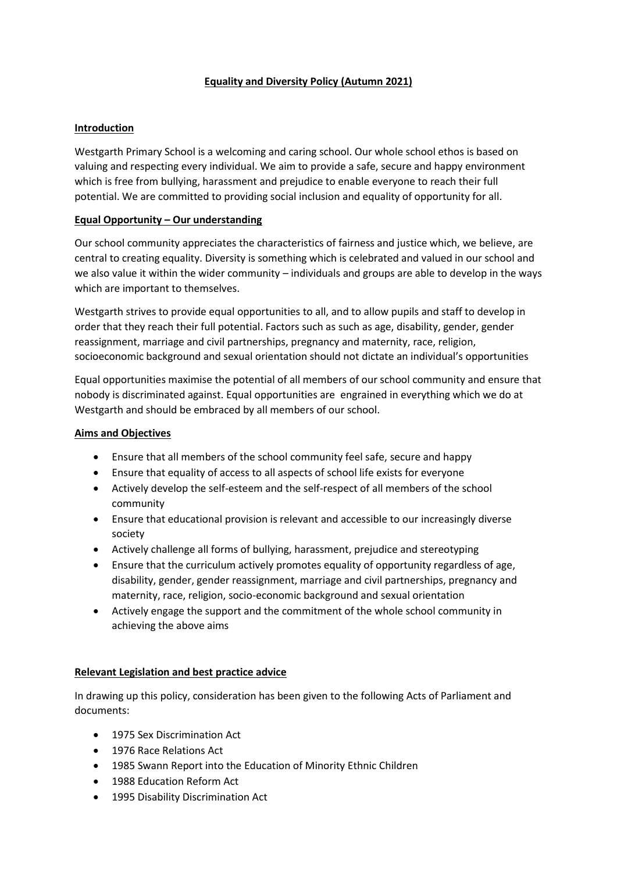# **Equality and Diversity Policy (Autumn 2021)**

#### **Introduction**

Westgarth Primary School is a welcoming and caring school. Our whole school ethos is based on valuing and respecting every individual. We aim to provide a safe, secure and happy environment which is free from bullying, harassment and prejudice to enable everyone to reach their full potential. We are committed to providing social inclusion and equality of opportunity for all.

#### **Equal Opportunity – Our understanding**

Our school community appreciates the characteristics of fairness and justice which, we believe, are central to creating equality. Diversity is something which is celebrated and valued in our school and we also value it within the wider community – individuals and groups are able to develop in the ways which are important to themselves.

Westgarth strives to provide equal opportunities to all, and to allow pupils and staff to develop in order that they reach their full potential. Factors such as such as age, disability, gender, gender reassignment, marriage and civil partnerships, pregnancy and maternity, race, religion, socioeconomic background and sexual orientation should not dictate an individual's opportunities

Equal opportunities maximise the potential of all members of our school community and ensure that nobody is discriminated against. Equal opportunities are engrained in everything which we do at Westgarth and should be embraced by all members of our school.

#### **Aims and Objectives**

- Ensure that all members of the school community feel safe, secure and happy
- Ensure that equality of access to all aspects of school life exists for everyone
- Actively develop the self-esteem and the self-respect of all members of the school community
- Ensure that educational provision is relevant and accessible to our increasingly diverse society
- Actively challenge all forms of bullying, harassment, prejudice and stereotyping
- Ensure that the curriculum actively promotes equality of opportunity regardless of age, disability, gender, gender reassignment, marriage and civil partnerships, pregnancy and maternity, race, religion, socio-economic background and sexual orientation
- Actively engage the support and the commitment of the whole school community in achieving the above aims

# **Relevant Legislation and best practice advice**

In drawing up this policy, consideration has been given to the following Acts of Parliament and documents:

- 1975 Sex Discrimination Act
- 1976 Race Relations Act
- 1985 Swann Report into the Education of Minority Ethnic Children
- 1988 Education Reform Act
- 1995 Disability Discrimination Act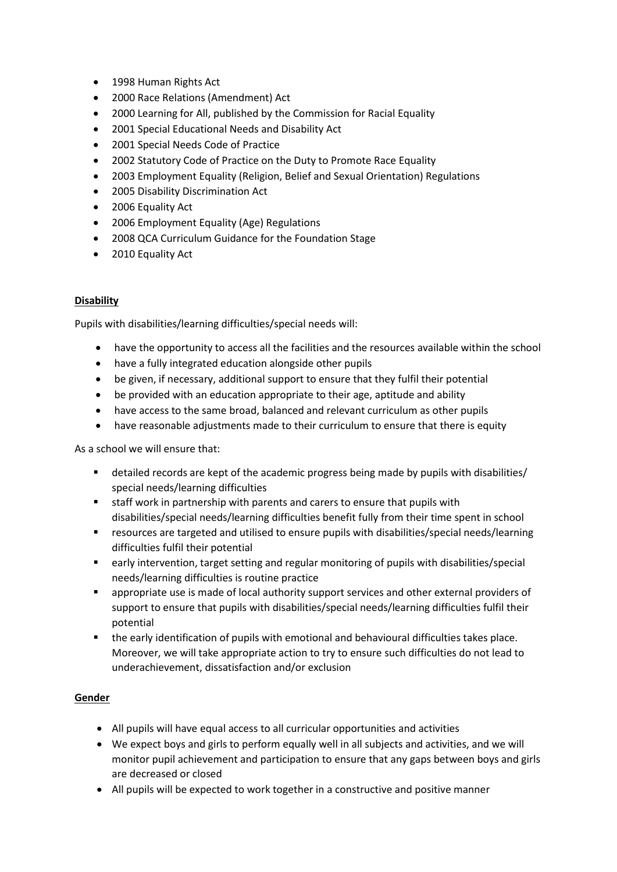- 1998 Human Rights Act
- 2000 Race Relations (Amendment) Act
- 2000 Learning for All, published by the Commission for Racial Equality
- 2001 Special Educational Needs and Disability Act
- 2001 Special Needs Code of Practice
- 2002 Statutory Code of Practice on the Duty to Promote Race Equality
- 2003 Employment Equality (Religion, Belief and Sexual Orientation) Regulations
- 2005 Disability Discrimination Act
- 2006 Equality Act
- 2006 Employment Equality (Age) Regulations
- 2008 QCA Curriculum Guidance for the Foundation Stage
- 2010 Equality Act

#### **Disability**

Pupils with disabilities/learning difficulties/special needs will:

- have the opportunity to access all the facilities and the resources available within the school
- have a fully integrated education alongside other pupils
- be given, if necessary, additional support to ensure that they fulfil their potential
- be provided with an education appropriate to their age, aptitude and ability
- have access to the same broad, balanced and relevant curriculum as other pupils
- have reasonable adjustments made to their curriculum to ensure that there is equity

As a school we will ensure that:

- detailed records are kept of the academic progress being made by pupils with disabilities/ special needs/learning difficulties
- staff work in partnership with parents and carers to ensure that pupils with disabilities/special needs/learning difficulties benefit fully from their time spent in school
- resources are targeted and utilised to ensure pupils with disabilities/special needs/learning difficulties fulfil their potential
- early intervention, target setting and regular monitoring of pupils with disabilities/special needs/learning difficulties is routine practice
- appropriate use is made of local authority support services and other external providers of support to ensure that pupils with disabilities/special needs/learning difficulties fulfil their potential
- the early identification of pupils with emotional and behavioural difficulties takes place. Moreover, we will take appropriate action to try to ensure such difficulties do not lead to underachievement, dissatisfaction and/or exclusion

# **Gender**

- All pupils will have equal access to all curricular opportunities and activities
- We expect boys and girls to perform equally well in all subjects and activities, and we will monitor pupil achievement and participation to ensure that any gaps between boys and girls are decreased or closed
- All pupils will be expected to work together in a constructive and positive manner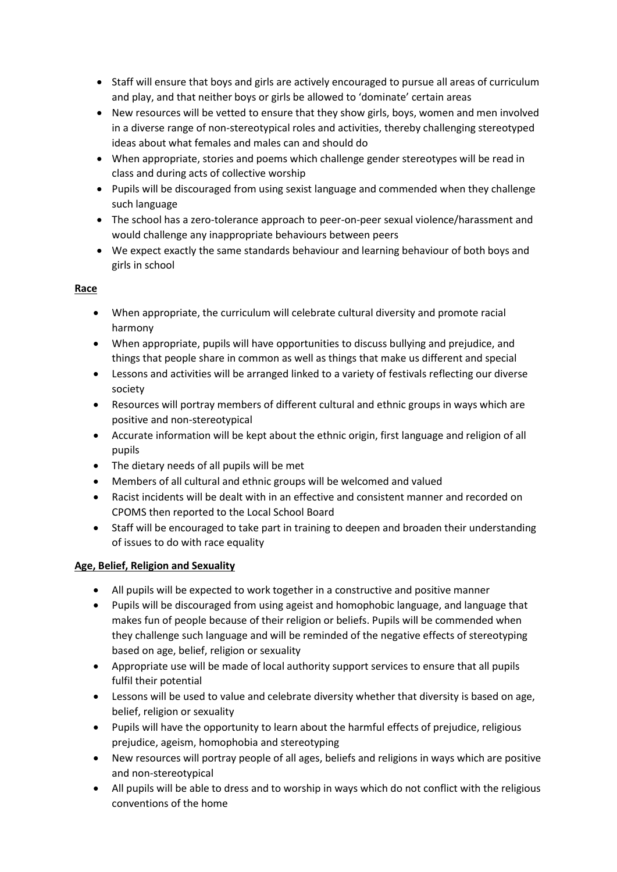- Staff will ensure that boys and girls are actively encouraged to pursue all areas of curriculum and play, and that neither boys or girls be allowed to 'dominate' certain areas
- New resources will be vetted to ensure that they show girls, boys, women and men involved in a diverse range of non-stereotypical roles and activities, thereby challenging stereotyped ideas about what females and males can and should do
- When appropriate, stories and poems which challenge gender stereotypes will be read in class and during acts of collective worship
- Pupils will be discouraged from using sexist language and commended when they challenge such language
- The school has a zero-tolerance approach to peer-on-peer sexual violence/harassment and would challenge any inappropriate behaviours between peers
- We expect exactly the same standards behaviour and learning behaviour of both boys and girls in school

# **Race**

- When appropriate, the curriculum will celebrate cultural diversity and promote racial harmony
- When appropriate, pupils will have opportunities to discuss bullying and prejudice, and things that people share in common as well as things that make us different and special
- Lessons and activities will be arranged linked to a variety of festivals reflecting our diverse society
- Resources will portray members of different cultural and ethnic groups in ways which are positive and non-stereotypical
- Accurate information will be kept about the ethnic origin, first language and religion of all pupils
- The dietary needs of all pupils will be met
- Members of all cultural and ethnic groups will be welcomed and valued
- Racist incidents will be dealt with in an effective and consistent manner and recorded on CPOMS then reported to the Local School Board
- Staff will be encouraged to take part in training to deepen and broaden their understanding of issues to do with race equality

# **Age, Belief, Religion and Sexuality**

- All pupils will be expected to work together in a constructive and positive manner
- Pupils will be discouraged from using ageist and homophobic language, and language that makes fun of people because of their religion or beliefs. Pupils will be commended when they challenge such language and will be reminded of the negative effects of stereotyping based on age, belief, religion or sexuality
- Appropriate use will be made of local authority support services to ensure that all pupils fulfil their potential
- Lessons will be used to value and celebrate diversity whether that diversity is based on age, belief, religion or sexuality
- Pupils will have the opportunity to learn about the harmful effects of prejudice, religious prejudice, ageism, homophobia and stereotyping
- New resources will portray people of all ages, beliefs and religions in ways which are positive and non-stereotypical
- All pupils will be able to dress and to worship in ways which do not conflict with the religious conventions of the home